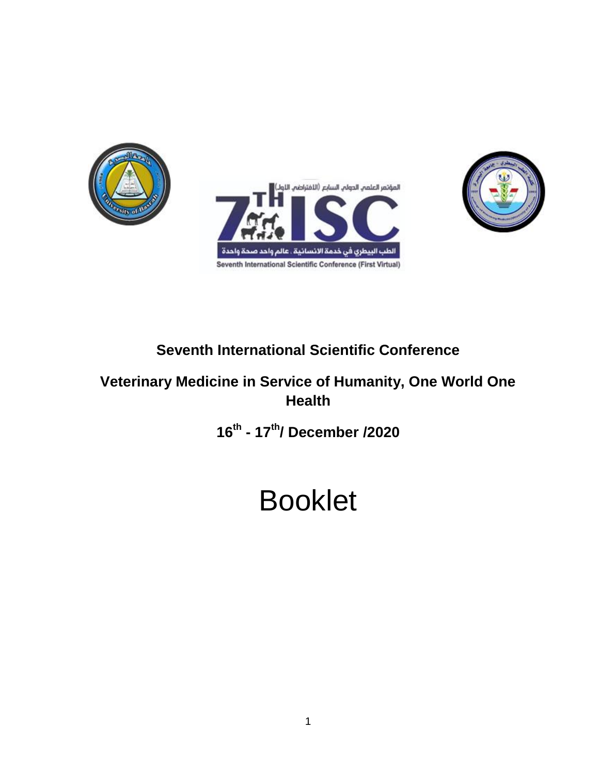





# **Seventh International Scientific Conference**

### **Veterinary Medicine in Service of Humanity, One World One Health**

**16th - 17th/ December /2020**

# Booklet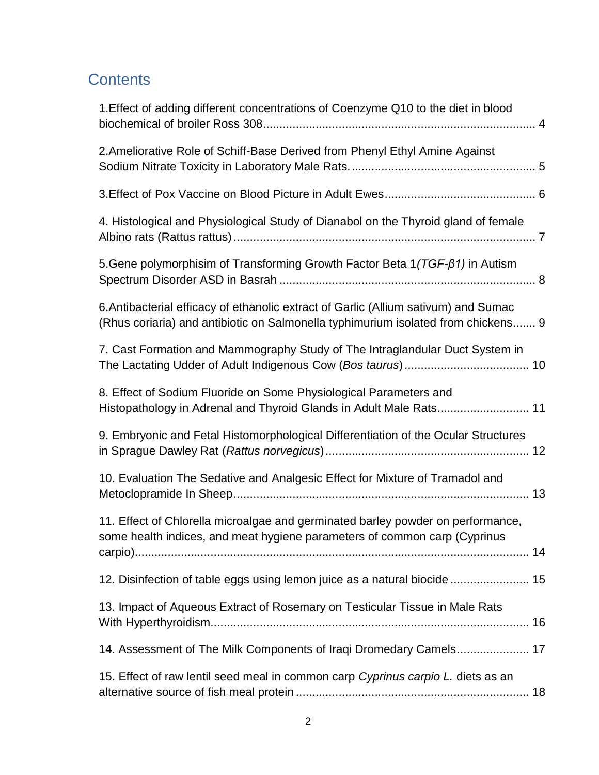# **Contents**

| 1. Effect of adding different concentrations of Coenzyme Q10 to the diet in blood                                                                                        |
|--------------------------------------------------------------------------------------------------------------------------------------------------------------------------|
| 2. Ameliorative Role of Schiff-Base Derived from Phenyl Ethyl Amine Against                                                                                              |
|                                                                                                                                                                          |
| 4. Histological and Physiological Study of Dianabol on the Thyroid gland of female                                                                                       |
| 5. Gene polymorphisim of Transforming Growth Factor Beta 1 (TGF-ß1) in Autism                                                                                            |
| 6. Antibacterial efficacy of ethanolic extract of Garlic (Allium sativum) and Sumac<br>(Rhus coriaria) and antibiotic on Salmonella typhimurium isolated from chickens 9 |
| 7. Cast Formation and Mammography Study of The Intraglandular Duct System in                                                                                             |
| 8. Effect of Sodium Fluoride on Some Physiological Parameters and<br>Histopathology in Adrenal and Thyroid Glands in Adult Male Rats 11                                  |
| 9. Embryonic and Fetal Histomorphological Differentiation of the Ocular Structures                                                                                       |
| 10. Evaluation The Sedative and Analgesic Effect for Mixture of Tramadol and                                                                                             |
| 11. Effect of Chlorella microalgae and germinated barley powder on performance,<br>some health indices, and meat hygiene parameters of common carp (Cyprinus             |
| 12. Disinfection of table eggs using lemon juice as a natural biocide  15                                                                                                |
| 13. Impact of Aqueous Extract of Rosemary on Testicular Tissue in Male Rats                                                                                              |
| 14. Assessment of The Milk Components of Iraqi Dromedary Camels 17                                                                                                       |
| 15. Effect of raw lentil seed meal in common carp Cyprinus carpio L. diets as an                                                                                         |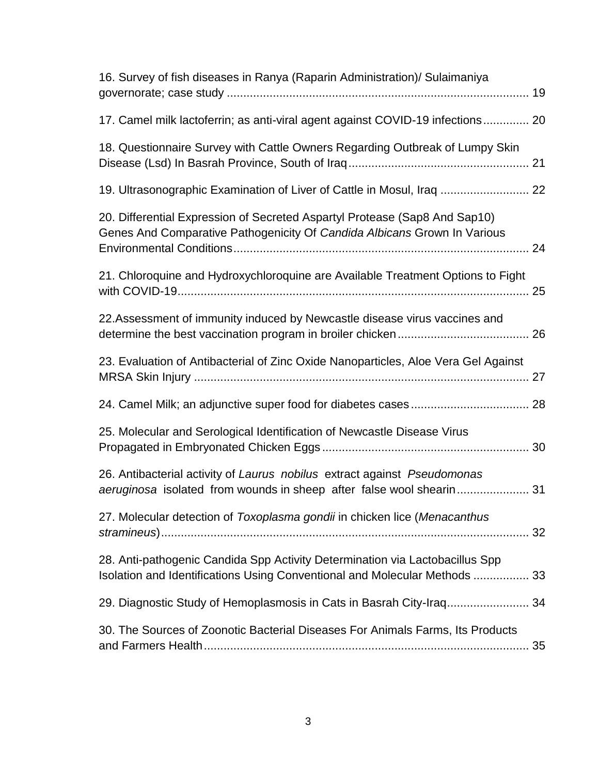<span id="page-2-0"></span>

| 16. Survey of fish diseases in Ranya (Raparin Administration)/ Sulaimaniya                                                                                 |    |
|------------------------------------------------------------------------------------------------------------------------------------------------------------|----|
| 17. Camel milk lactoferrin; as anti-viral agent against COVID-19 infections 20                                                                             |    |
| 18. Questionnaire Survey with Cattle Owners Regarding Outbreak of Lumpy Skin                                                                               |    |
| 19. Ultrasonographic Examination of Liver of Cattle in Mosul, Iraq  22                                                                                     |    |
| 20. Differential Expression of Secreted Aspartyl Protease (Sap8 And Sap10)<br>Genes And Comparative Pathogenicity Of Candida Albicans Grown In Various     |    |
| 21. Chloroquine and Hydroxychloroquine are Available Treatment Options to Fight                                                                            |    |
| 22. Assessment of immunity induced by Newcastle disease virus vaccines and                                                                                 |    |
| 23. Evaluation of Antibacterial of Zinc Oxide Nanoparticles, Aloe Vera Gel Against                                                                         |    |
|                                                                                                                                                            |    |
| 25. Molecular and Serological Identification of Newcastle Disease Virus                                                                                    |    |
| 26. Antibacterial activity of Laurus nobilus extract against Pseudomonas<br>aeruginosa isolated from wounds in sheep after false wool shearin 31           |    |
| 27. Molecular detection of Toxoplasma gondii in chicken lice (Menacanthus                                                                                  |    |
| 28. Anti-pathogenic Candida Spp Activity Determination via Lactobacillus Spp<br>Isolation and Identifications Using Conventional and Molecular Methods  33 |    |
| 29. Diagnostic Study of Hemoplasmosis in Cats in Basrah City-Iraq 34                                                                                       |    |
| 30. The Sources of Zoonotic Bacterial Diseases For Animals Farms, Its Products                                                                             | 35 |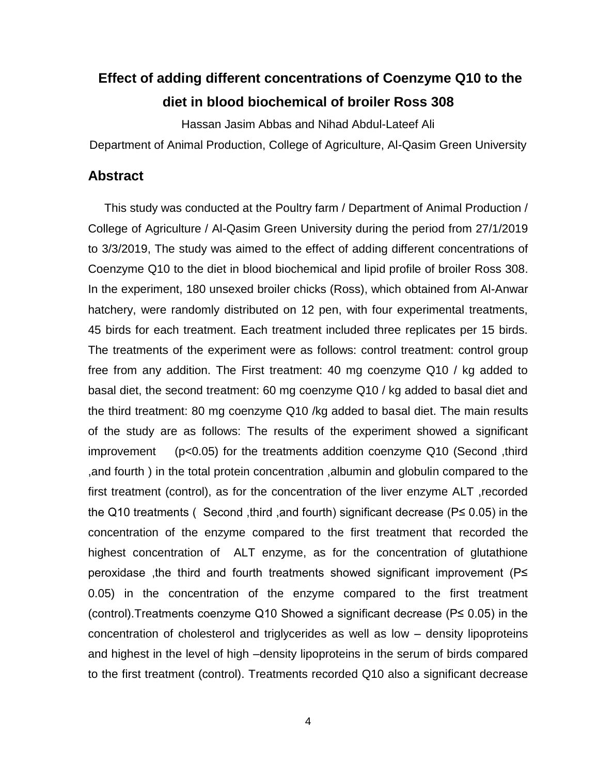# **Effect of adding different concentrations of Coenzyme Q10 to the diet in blood biochemical of broiler Ross 308**

Hassan Jasim Abbas and Nihad Abdul-Lateef Ali

Department of Animal Production, College of Agriculture, Al-Qasim Green University

#### **Abstract**

 This study was conducted at the Poultry farm / Department of Animal Production / College of Agriculture / Al-Qasim Green University during the period from 27/1/2019 to 3/3/2019, The study was aimed to the effect of adding different concentrations of Coenzyme Q10 to the diet in blood biochemical and lipid profile of broiler Ross 308. In the experiment, 180 unsexed broiler chicks (Ross), which obtained from Al-Anwar hatchery, were randomly distributed on 12 pen, with four experimental treatments, 45 birds for each treatment. Each treatment included three replicates per 15 birds. The treatments of the experiment were as follows: control treatment: control group free from any addition. The First treatment: 40 mg coenzyme Q10 / kg added to basal diet, the second treatment: 60 mg coenzyme Q10 / kg added to basal diet and the third treatment: 80 mg coenzyme Q10 /kg added to basal diet. The main results of the study are as follows: The results of the experiment showed a significant improvement (p<0.05) for the treatments addition coenzyme Q10 (Second ,third ,and fourth ) in the total protein concentration ,albumin and globulin compared to the first treatment (control), as for the concentration of the liver enzyme ALT ,recorded the Q10 treatments ( Second ,third ,and fourth) significant decrease (P≤ 0.05) in the concentration of the enzyme compared to the first treatment that recorded the highest concentration of ALT enzyme, as for the concentration of glutathione peroxidase ,the third and fourth treatments showed significant improvement (P≤ 0.05) in the concentration of the enzyme compared to the first treatment (control).Treatments coenzyme Q10 Showed a significant decrease (P≤ 0.05) in the concentration of cholesterol and triglycerides as well as low – density lipoproteins and highest in the level of high –density lipoproteins in the serum of birds compared to the first treatment (control). Treatments recorded Q10 also a significant decrease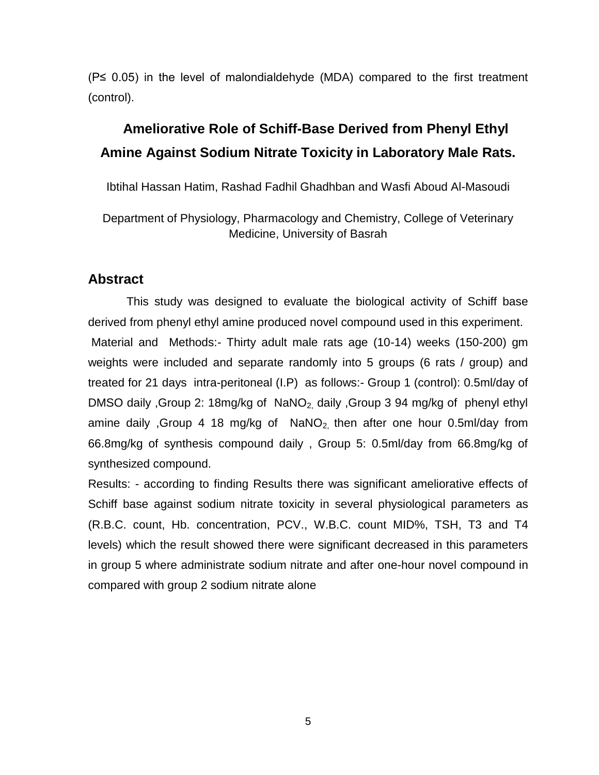(P≤ 0.05) in the level of malondialdehyde (MDA) compared to the first treatment (control).

# <span id="page-4-0"></span>**2. Ameliorative Role of Schiff-Base Derived from Phenyl Ethyl Amine Against Sodium Nitrate Toxicity in Laboratory Male Rats.**

Ibtihal Hassan Hatim, Rashad Fadhil Ghadhban and Wasfi Aboud Al-Masoudi

Department of Physiology, Pharmacology and Chemistry, College of Veterinary Medicine, University of Basrah

#### **Abstract**

This study was designed to evaluate the biological activity of Schiff base derived from phenyl ethyl amine produced novel compound used in this experiment. Material and Methods:- Thirty adult male rats age (10-14) weeks (150-200) gm weights were included and separate randomly into 5 groups (6 rats / group) and treated for 21 days intra-peritoneal (I.P) as follows:- Group 1 (control): 0.5ml/day of DMSO daily , Group 2: 18mg/kg of NaNO<sub>2</sub>, daily , Group 3 94 mg/kg of phenyl ethyl amine daily ,Group 4 18 mg/kg of  $NaNO<sub>2</sub>$ , then after one hour 0.5ml/day from 66.8mg/kg of synthesis compound daily , Group 5: 0.5ml/day from 66.8mg/kg of synthesized compound.

Results: - according to finding Results there was significant ameliorative effects of Schiff base against sodium nitrate toxicity in several physiological parameters as (R.B.C. count, Hb. concentration, PCV., W.B.C. count MID%, TSH, T3 and T4 levels) which the result showed there were significant decreased in this parameters in group 5 where administrate sodium nitrate and after one-hour novel compound in compared with group 2 sodium nitrate alone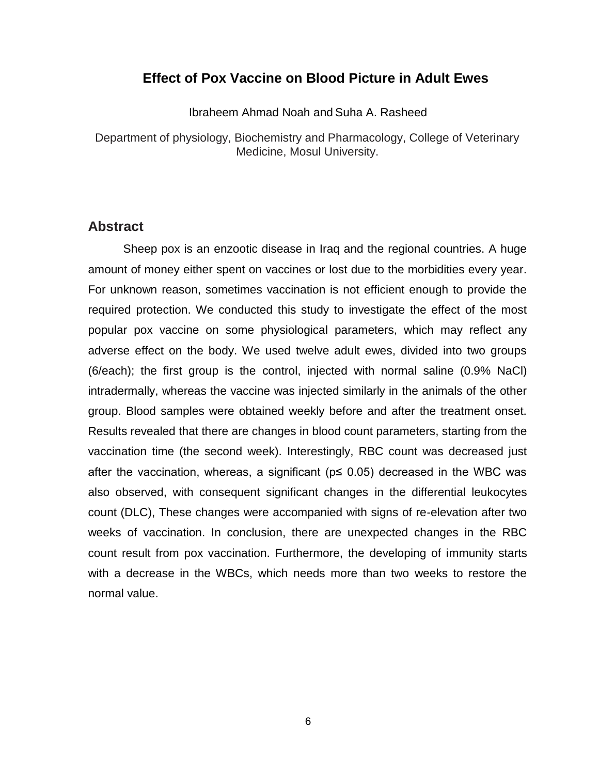#### <span id="page-5-0"></span>**3. Effect of Pox Vaccine on Blood Picture in Adult Ewes**

Ibraheem Ahmad Noah and Suha A. Rasheed

Department of physiology, Biochemistry and Pharmacology, College of Veterinary Medicine, Mosul University.

#### **Abstract**

Sheep pox is an enzootic disease in Iraq and the regional countries. A huge amount of money either spent on vaccines or lost due to the morbidities every year. For unknown reason, sometimes vaccination is not efficient enough to provide the required protection. We conducted this study to investigate the effect of the most popular pox vaccine on some physiological parameters, which may reflect any adverse effect on the body. We used twelve adult ewes, divided into two groups (6/each); the first group is the control, injected with normal saline (0.9% NaCl) intradermally, whereas the vaccine was injected similarly in the animals of the other group. Blood samples were obtained weekly before and after the treatment onset. Results revealed that there are changes in blood count parameters, starting from the vaccination time (the second week). Interestingly, RBC count was decreased just after the vaccination, whereas, a significant ( $p \le 0.05$ ) decreased in the WBC was also observed, with consequent significant changes in the differential leukocytes count (DLC), These changes were accompanied with signs of re-elevation after two weeks of vaccination. In conclusion, there are unexpected changes in the RBC count result from pox vaccination. Furthermore, the developing of immunity starts with a decrease in the WBCs, which needs more than two weeks to restore the normal value.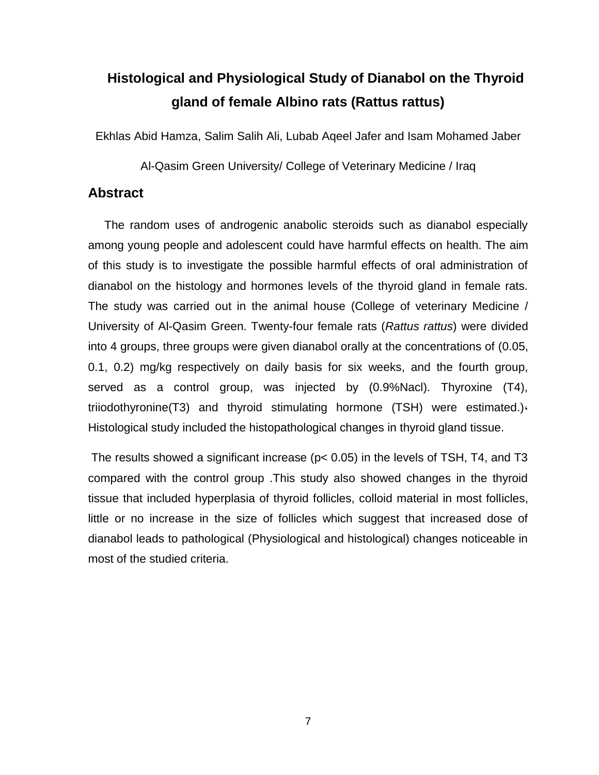# <span id="page-6-0"></span>**4. Histological and Physiological Study of Dianabol on the Thyroid gland of female Albino rats (Rattus rattus)**

Ekhlas Abid Hamza, Salim Salih Ali, Lubab Aqeel Jafer and Isam Mohamed Jaber

Al-Qasim Green University/ College of Veterinary Medicine / Iraq

#### **Abstract**

 The random uses of androgenic anabolic steroids such as dianabol especially among young people and adolescent could have harmful effects on health. The aim of this study is to investigate the possible harmful effects of oral administration of dianabol on the histology and hormones levels of the thyroid gland in female rats. The study was carried out in the animal house (College of veterinary Medicine / University of Al-Qasim Green. Twenty-four female rats (*Rattus rattus*) were divided into 4 groups, three groups were given dianabol orally at the concentrations of (0.05, 0.1, 0.2) mg/kg respectively on daily basis for six weeks, and the fourth group, served as a control group, was injected by (0.9%Nacl). Thyroxine (T4), triiodothyronine(T3) and thyroid stimulating hormone (TSH) were estimated.)، Histological study included the histopathological changes in thyroid gland tissue.

The results showed a significant increase ( $p < 0.05$ ) in the levels of TSH, T4, and T3 compared with the control group .This study also showed changes in the thyroid tissue that included hyperplasia of thyroid follicles, colloid material in most follicles, little or no increase in the size of follicles which suggest that increased dose of dianabol leads to pathological (Physiological and histological) changes noticeable in most of the studied criteria.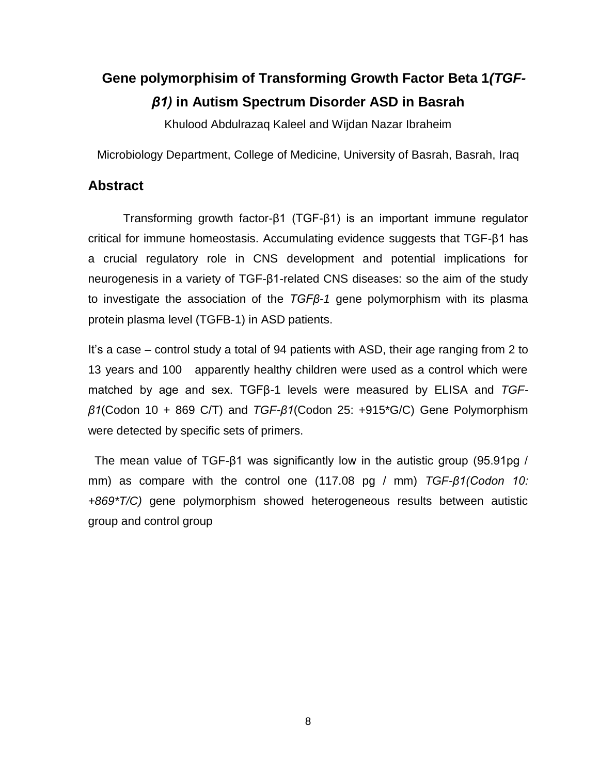# <span id="page-7-0"></span>**5.Gene polymorphisim of Transforming Growth Factor Beta 1***(TGFβ1)* **in Autism Spectrum Disorder ASD in Basrah**

Khulood Abdulrazaq Kaleel and Wijdan Nazar Ibraheim

Microbiology Department, College of Medicine, University of Basrah, Basrah, Iraq

#### **Abstract**

Transforming growth factor-β1 (TGF-β1) is an important immune regulator critical for immune homeostasis. Accumulating evidence suggests that TGF-β1 has a crucial regulatory role in CNS development and potential implications for neurogenesis in a variety of TGF-β1-related CNS diseases: so the aim of the study to investigate the association of the *TGFβ-1* gene polymorphism with its plasma protein plasma level (TGFB-1) in ASD patients.

It's a case – control study a total of 94 patients with ASD, their age ranging from 2 to 13 years and 100 apparently healthy children were used as a control which were matched by age and sex. TGFβ-1 levels were measured by ELISA and *TGFβ1*(Codon 10 + 869 C/T) and *TGF-β1*(Codon 25: +915\*G/C) Gene Polymorphism were detected by specific sets of primers.

 The mean value of TGF-β1 was significantly low in the autistic group (95.91pg / mm) as compare with the control one (117.08 pg / mm) *TGF-β1(Codon 10: +869\*T/C)* gene polymorphism showed heterogeneous results between autistic group and control group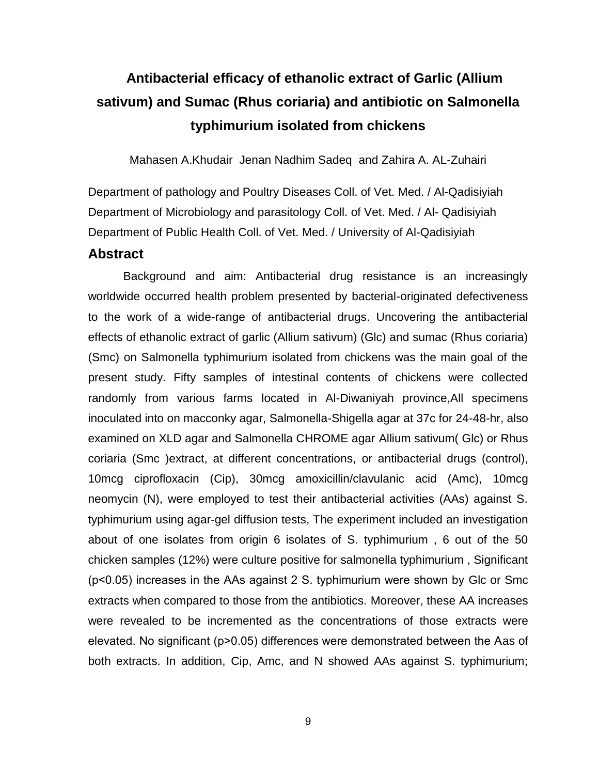# <span id="page-8-0"></span>**6. Antibacterial efficacy of ethanolic extract of Garlic (Allium sativum) and Sumac (Rhus coriaria) and antibiotic on Salmonella typhimurium isolated from chickens**

Mahasen A.Khudair Jenan Nadhim Sadeq and Zahira A. AL-Zuhairi

Department of pathology and Poultry Diseases Coll. of Vet. Med. / Al-Qadisiyiah Department of Microbiology and parasitology Coll. of Vet. Med. / Al- Qadisiyiah Department of Public Health Coll. of Vet. Med. / University of Al-Qadisiyiah

#### **Abstract**

Background and aim: Antibacterial drug resistance is an increasingly worldwide occurred health problem presented by bacterial-originated defectiveness to the work of a wide-range of antibacterial drugs. Uncovering the antibacterial effects of ethanolic extract of garlic (Allium sativum) (Glc) and sumac (Rhus coriaria) (Smc) on Salmonella typhimurium isolated from chickens was the main goal of the present study. Fifty samples of intestinal contents of chickens were collected randomly from various farms located in Al-Diwaniyah province,All specimens inoculated into on macconky agar, Salmonella-Shigella agar at 37c for 24-48-hr, also examined on XLD agar and Salmonella CHROME agar Allium sativum( Glc) or Rhus coriaria (Smc )extract, at different concentrations, or antibacterial drugs (control), 10mcg ciprofloxacin (Cip), 30mcg amoxicillin/clavulanic acid (Amc), 10mcg neomycin (N), were employed to test their antibacterial activities (AAs) against S. typhimurium using agar-gel diffusion tests, The experiment included an investigation about of one isolates from origin 6 isolates of S. typhimurium , 6 out of the 50 chicken samples (12%) were culture positive for salmonella typhimurium , Significant (p˂0.05) increases in the AAs against 2 S. typhimurium were shown by Glc or Smc extracts when compared to those from the antibiotics. Moreover, these AA increases were revealed to be incremented as the concentrations of those extracts were elevated. No significant (p˃0.05) differences were demonstrated between the Aas of both extracts. In addition, Cip, Amc, and N showed AAs against S. typhimurium;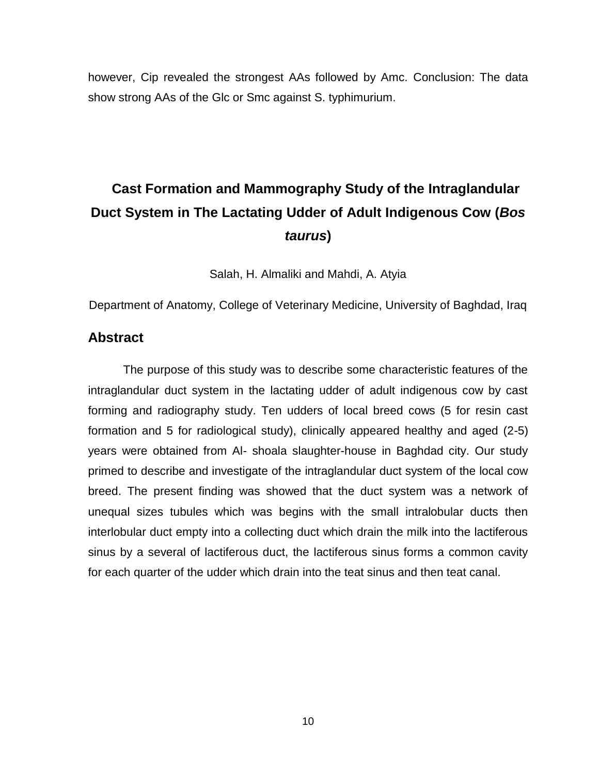however, Cip revealed the strongest AAs followed by Amc. Conclusion: The data show strong AAs of the Glc or Smc against S. typhimurium.

# <span id="page-9-0"></span>**7. Cast Formation and Mammography Study of the Intraglandular Duct System in The Lactating Udder of Adult Indigenous Cow (***Bos taurus***)**

Salah, H. Almaliki and Mahdi, A. Atyia

Department of Anatomy, College of Veterinary Medicine, University of Baghdad, Iraq

#### **Abstract**

The purpose of this study was to describe some characteristic features of the intraglandular duct system in the lactating udder of adult indigenous cow by cast forming and radiography study. Ten udders of local breed cows (5 for resin cast formation and 5 for radiological study), clinically appeared healthy and aged (2-5) years were obtained from Al- shoala slaughter-house in Baghdad city. Our study primed to describe and investigate of the intraglandular duct system of the local cow breed. The present finding was showed that the duct system was a network of unequal sizes tubules which was begins with the small intralobular ducts then interlobular duct empty into a collecting duct which drain the milk into the lactiferous sinus by a several of lactiferous duct, the lactiferous sinus forms a common cavity for each quarter of the udder which drain into the teat sinus and then teat canal.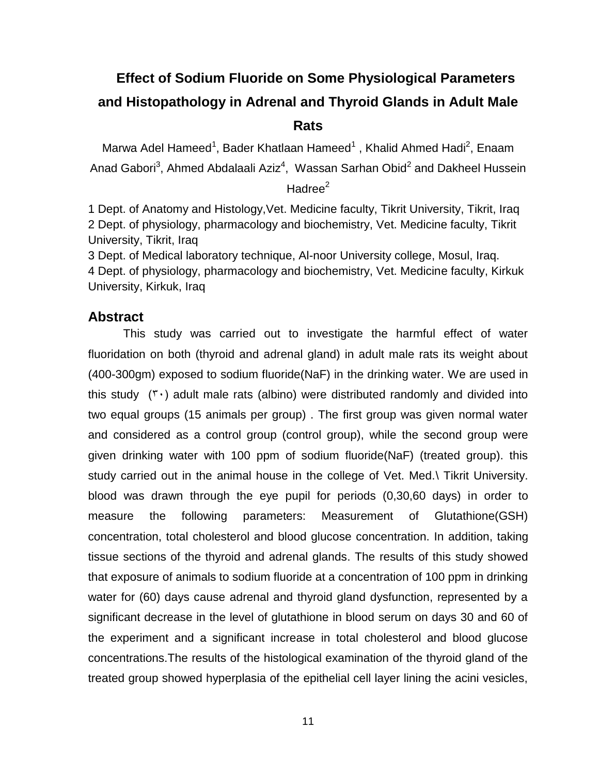# <span id="page-10-0"></span>**8. Effect of Sodium Fluoride on Some Physiological Parameters and Histopathology in Adrenal and Thyroid Glands in Adult Male Rats**

Marwa Adel Hameed<sup>1</sup>, Bader Khatlaan Hameed<sup>1</sup>, Khalid Ahmed Hadi<sup>2</sup>, Enaam Anad Gabori<sup>3</sup>, Ahmed Abdalaali Aziz<sup>4</sup>, Wassan Sarhan Obid<sup>2</sup> and Dakheel Hussein Hadree<sup>2</sup>

1 Dept. of Anatomy and Histology,Vet. Medicine faculty, Tikrit University, Tikrit, Iraq 2 Dept. of physiology, pharmacology and biochemistry, Vet. Medicine faculty, Tikrit University, Tikrit, Iraq

3 Dept. of Medical laboratory technique, Al-noor University college, Mosul, Iraq. 4 Dept. of physiology, pharmacology and biochemistry, Vet. Medicine faculty, Kirkuk University, Kirkuk, Iraq

#### **Abstract**

This study was carried out to investigate the harmful effect of water fluoridation on both (thyroid and adrenal gland) in adult male rats its weight about (400-300gm) exposed to sodium fluoride(NaF) in the drinking water. We are used in this study  $(Y \cdot)$  adult male rats (albino) were distributed randomly and divided into two equal groups (15 animals per group) . The first group was given normal water and considered as a control group (control group), while the second group were given drinking water with 100 ppm of sodium fluoride(NaF) (treated group). this study carried out in the animal house in the college of Vet. Med.\ Tikrit University. blood was drawn through the eye pupil for periods (0,30,60 days) in order to measure the following parameters: Measurement of Glutathione(GSH) concentration, total cholesterol and blood glucose concentration. In addition, taking tissue sections of the thyroid and adrenal glands. The results of this study showed that exposure of animals to sodium fluoride at a concentration of 100 ppm in drinking water for (60) days cause adrenal and thyroid gland dysfunction, represented by a significant decrease in the level of glutathione in blood serum on days 30 and 60 of the experiment and a significant increase in total cholesterol and blood glucose concentrations.The results of the histological examination of the thyroid gland of the treated group showed hyperplasia of the epithelial cell layer lining the acini vesicles,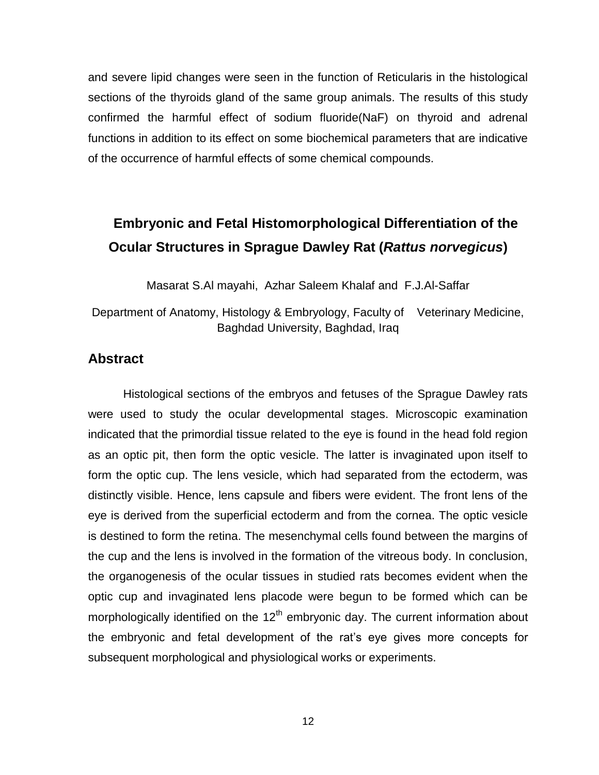and severe lipid changes were seen in the function of Reticularis in the histological sections of the thyroids gland of the same group animals. The results of this study confirmed the harmful effect of sodium fluoride(NaF) on thyroid and adrenal functions in addition to its effect on some biochemical parameters that are indicative of the occurrence of harmful effects of some chemical compounds.

# <span id="page-11-0"></span>**9. Embryonic and Fetal Histomorphological Differentiation of the Ocular Structures in Sprague Dawley Rat (***Rattus norvegicus***)**

Masarat S.Al mayahi, Azhar Saleem Khalaf and F.J.Al-Saffar

#### Department of Anatomy, Histology & Embryology, Faculty of Veterinary Medicine, Baghdad University, Baghdad, Iraq

#### **Abstract**

Histological sections of the embryos and fetuses of the Sprague Dawley rats were used to study the ocular developmental stages. Microscopic examination indicated that the primordial tissue related to the eye is found in the head fold region as an optic pit, then form the optic vesicle. The latter is invaginated upon itself to form the optic cup. The lens vesicle, which had separated from the ectoderm, was distinctly visible. Hence, lens capsule and fibers were evident. The front lens of the eye is derived from the superficial ectoderm and from the cornea. The optic vesicle is destined to form the retina. The mesenchymal cells found between the margins of the cup and the lens is involved in the formation of the vitreous body. In conclusion, the organogenesis of the ocular tissues in studied rats becomes evident when the optic cup and invaginated lens placode were begun to be formed which can be morphologically identified on the  $12<sup>th</sup>$  embryonic day. The current information about the embryonic and fetal development of the rat's eye gives more concepts for subsequent morphological and physiological works or experiments.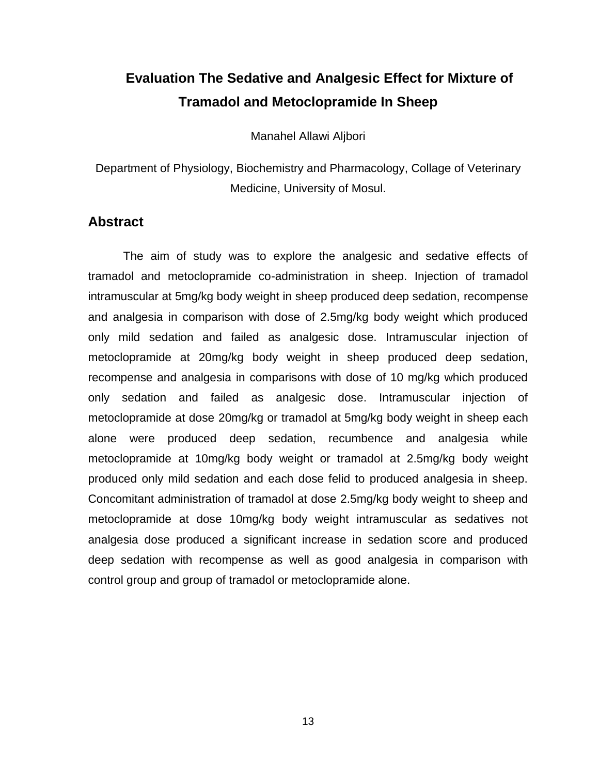# <span id="page-12-0"></span>**10. Evaluation The Sedative and Analgesic Effect for Mixture of Tramadol and Metoclopramide In Sheep**

Manahel Allawi Aljbori

Department of Physiology, Biochemistry and Pharmacology, Collage of Veterinary Medicine, University of Mosul.

#### **Abstract**

The aim of study was to explore the analgesic and sedative effects of tramadol and metoclopramide co-administration in sheep. Injection of tramadol intramuscular at 5mg/kg body weight in sheep produced deep sedation, recompense and analgesia in comparison with dose of 2.5mg/kg body weight which produced only mild sedation and failed as analgesic dose. Intramuscular injection of metoclopramide at 20mg/kg body weight in sheep produced deep sedation, recompense and analgesia in comparisons with dose of 10 mg/kg which produced only sedation and failed as analgesic dose. Intramuscular injection of metoclopramide at dose 20mg/kg or tramadol at 5mg/kg body weight in sheep each alone were produced deep sedation, recumbence and analgesia while metoclopramide at 10mg/kg body weight or tramadol at 2.5mg/kg body weight produced only mild sedation and each dose felid to produced analgesia in sheep. Concomitant administration of tramadol at dose 2.5mg/kg body weight to sheep and metoclopramide at dose 10mg/kg body weight intramuscular as sedatives not analgesia dose produced a significant increase in sedation score and produced deep sedation with recompense as well as good analgesia in comparison with control group and group of tramadol or metoclopramide alone.

13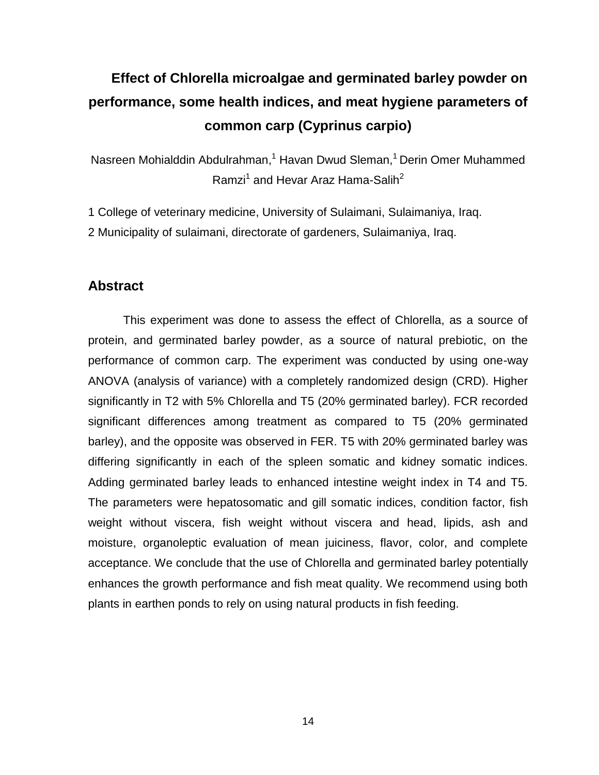# <span id="page-13-0"></span>**11. Effect of Chlorella microalgae and germinated barley powder on performance, some health indices, and meat hygiene parameters of common carp (Cyprinus carpio)**

Nasreen Mohialddin Abdulrahman,<sup>1</sup> Havan Dwud Sleman,<sup>1</sup> Derin Omer Muhammed Ramzi<sup>1</sup> and Hevar Araz Hama-Salih<sup>2</sup>

1 College of veterinary medicine, University of Sulaimani, Sulaimaniya, Iraq.

2 Municipality of sulaimani, directorate of gardeners, Sulaimaniya, Iraq.

#### **Abstract**

This experiment was done to assess the effect of Chlorella, as a source of protein, and germinated barley powder, as a source of natural prebiotic, on the performance of common carp. The experiment was conducted by using one-way ANOVA (analysis of variance) with a completely randomized design (CRD). Higher significantly in T2 with 5% Chlorella and T5 (20% germinated barley). FCR recorded significant differences among treatment as compared to T5 (20% germinated barley), and the opposite was observed in FER. T5 with 20% germinated barley was differing significantly in each of the spleen somatic and kidney somatic indices. Adding germinated barley leads to enhanced intestine weight index in T4 and T5. The parameters were hepatosomatic and gill somatic indices, condition factor, fish weight without viscera, fish weight without viscera and head, lipids, ash and moisture, organoleptic evaluation of mean juiciness, flavor, color, and complete acceptance. We conclude that the use of Chlorella and germinated barley potentially enhances the growth performance and fish meat quality. We recommend using both plants in earthen ponds to rely on using natural products in fish feeding.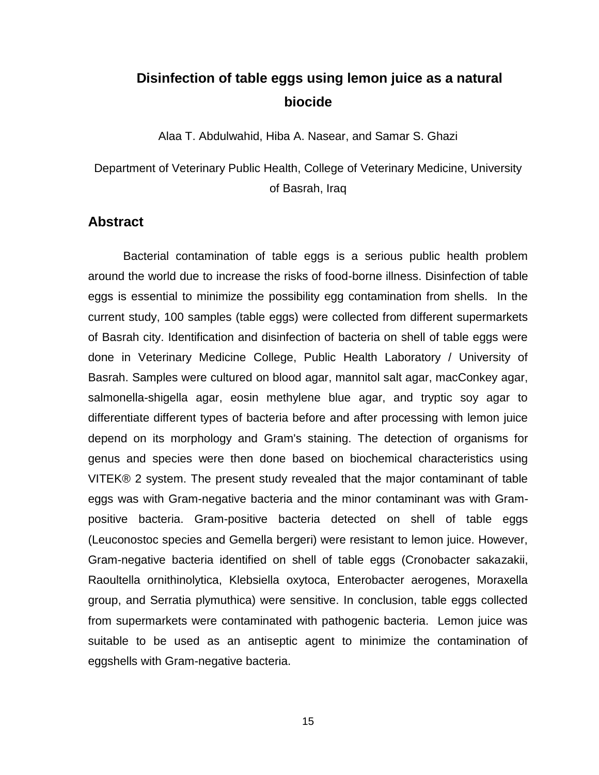### <span id="page-14-0"></span>**12. Disinfection of table eggs using lemon juice as a natural biocide**

Alaa T. Abdulwahid, Hiba A. Nasear, and Samar S. Ghazi

Department of Veterinary Public Health, College of Veterinary Medicine, University of Basrah, Iraq

#### **Abstract**

Bacterial contamination of table eggs is a serious public health problem around the world due to increase the risks of food-borne illness. Disinfection of table eggs is essential to minimize the possibility egg contamination from shells. In the current study, 100 samples (table eggs) were collected from different supermarkets of Basrah city. Identification and disinfection of bacteria on shell of table eggs were done in Veterinary Medicine College, Public Health Laboratory / University of Basrah. Samples were cultured on blood agar, mannitol salt agar, macConkey agar, salmonella-shigella agar, eosin methylene blue agar, and tryptic soy agar to differentiate different types of bacteria before and after processing with lemon juice depend on its morphology and Gram's staining. The detection of organisms for genus and species were then done based on biochemical characteristics using VITEK® 2 system. The present study revealed that the major contaminant of table eggs was with Gram-negative bacteria and the minor contaminant was with Grampositive bacteria. Gram-positive bacteria detected on shell of table eggs (Leuconostoc species and Gemella bergeri) were resistant to lemon juice. However, Gram-negative bacteria identified on shell of table eggs (Cronobacter sakazakii, Raoultella ornithinolytica, Klebsiella oxytoca, Enterobacter aerogenes, Moraxella group, and Serratia plymuthica) were sensitive. In conclusion, table eggs collected from supermarkets were contaminated with pathogenic bacteria. Lemon juice was suitable to be used as an antiseptic agent to minimize the contamination of eggshells with Gram-negative bacteria.

15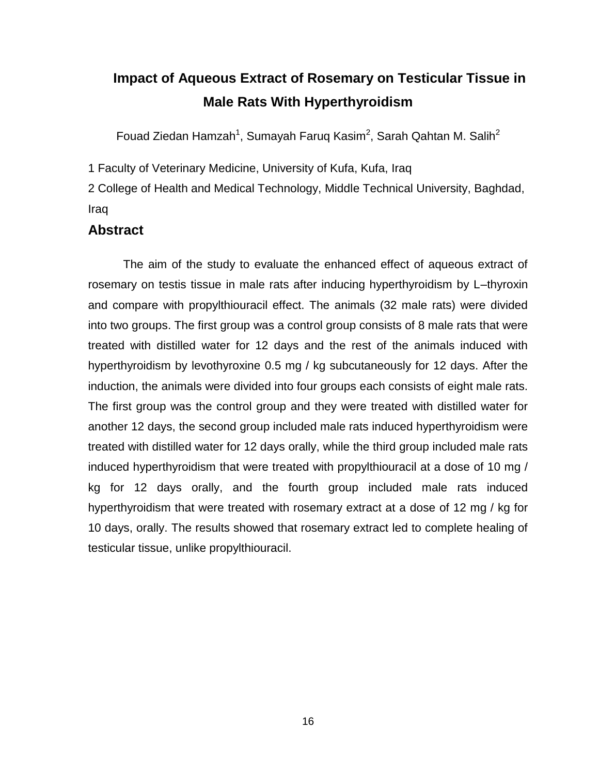# <span id="page-15-0"></span>**Impact of Aqueous Extract of Rosemary on Testicular Tissue in Male Rats With Hyperthyroidism**

Fouad Ziedan Hamzah<sup>1</sup>, Sumayah Faruq Kasim<sup>2</sup>, Sarah Qahtan M. Salih<sup>2</sup>

1 Faculty of Veterinary Medicine, University of Kufa, Kufa, Iraq

2 College of Health and Medical Technology, Middle Technical University, Baghdad, Iraq

#### **Abstract**

The aim of the study to evaluate the enhanced effect of aqueous extract of rosemary on testis tissue in male rats after inducing hyperthyroidism by L–thyroxin and compare with propylthiouracil effect. The animals (32 male rats) were divided into two groups. The first group was a control group consists of 8 male rats that were treated with distilled water for 12 days and the rest of the animals induced with hyperthyroidism by levothyroxine 0.5 mg / kg subcutaneously for 12 days. After the induction, the animals were divided into four groups each consists of eight male rats. The first group was the control group and they were treated with distilled water for another 12 days, the second group included male rats induced hyperthyroidism were treated with distilled water for 12 days orally, while the third group included male rats induced hyperthyroidism that were treated with propylthiouracil at a dose of 10 mg / kg for 12 days orally, and the fourth group included male rats induced hyperthyroidism that were treated with rosemary extract at a dose of 12 mg / kg for 10 days, orally. The results showed that rosemary extract led to complete healing of testicular tissue, unlike propylthiouracil.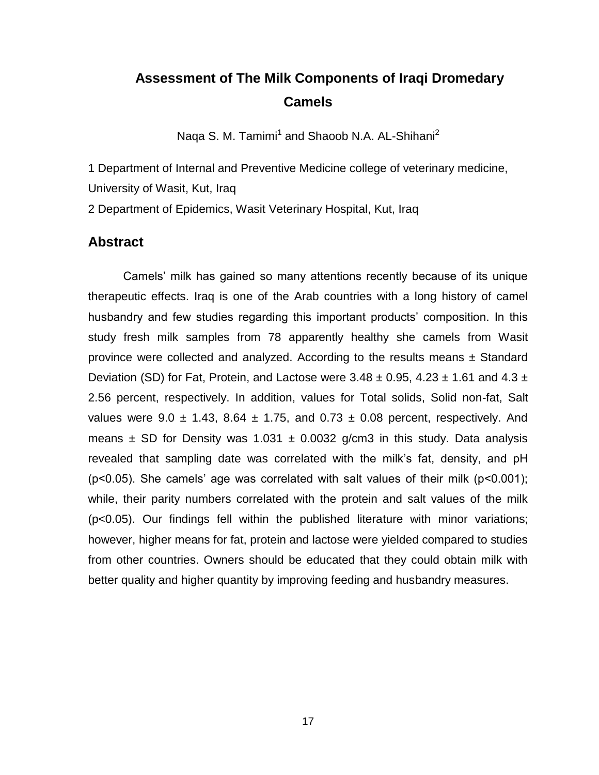### <span id="page-16-0"></span>**14. Assessment of The Milk Components of Iraqi Dromedary Camels**

Naqa S. M. Tamimi<sup>1</sup> and Shaoob N.A. AL-Shihani<sup>2</sup>

1 Department of Internal and Preventive Medicine college of veterinary medicine, University of Wasit, Kut, Iraq

2 Department of Epidemics, Wasit Veterinary Hospital, Kut, Iraq

#### **Abstract**

Camels' milk has gained so many attentions recently because of its unique therapeutic effects. Iraq is one of the Arab countries with a long history of camel husbandry and few studies regarding this important products' composition. In this study fresh milk samples from 78 apparently healthy she camels from Wasit province were collected and analyzed. According to the results means  $\pm$  Standard Deviation (SD) for Fat, Protein, and Lactose were  $3.48 \pm 0.95$ ,  $4.23 \pm 1.61$  and  $4.3 \pm 1.61$ 2.56 percent, respectively. In addition, values for Total solids, Solid non-fat, Salt values were  $9.0 \pm 1.43$ ,  $8.64 \pm 1.75$ , and  $0.73 \pm 0.08$  percent, respectively. And means  $\pm$  SD for Density was 1.031  $\pm$  0.0032 g/cm3 in this study. Data analysis revealed that sampling date was correlated with the milk's fat, density, and pH (p<0.05). She camels' age was correlated with salt values of their milk (p<0.001); while, their parity numbers correlated with the protein and salt values of the milk (p<0.05). Our findings fell within the published literature with minor variations; however, higher means for fat, protein and lactose were yielded compared to studies from other countries. Owners should be educated that they could obtain milk with better quality and higher quantity by improving feeding and husbandry measures.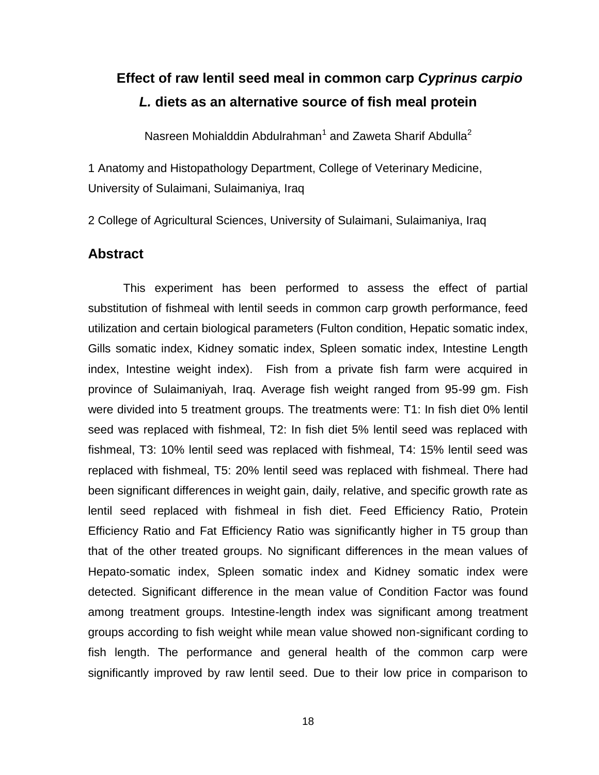# <span id="page-17-0"></span>**15. Effect of raw lentil seed meal in common carp** *Cyprinus carpio L.* **diets as an alternative source of fish meal protein**

Nasreen Mohialddin Abdulrahman<sup>1</sup> and Zaweta Sharif Abdulla<sup>2</sup>

1 Anatomy and Histopathology Department, College of Veterinary Medicine, University of Sulaimani, Sulaimaniya, Iraq

2 College of Agricultural Sciences, University of Sulaimani, Sulaimaniya, Iraq

#### **Abstract**

This experiment has been performed to assess the effect of partial substitution of fishmeal with lentil seeds in common carp growth performance, feed utilization and certain biological parameters (Fulton condition, Hepatic somatic index, Gills somatic index, Kidney somatic index, Spleen somatic index, Intestine Length index, Intestine weight index). Fish from a private fish farm were acquired in province of Sulaimaniyah, Iraq. Average fish weight ranged from 95-99 gm. Fish were divided into 5 treatment groups. The treatments were: T1: In fish diet 0% lentil seed was replaced with fishmeal, T2: In fish diet 5% lentil seed was replaced with fishmeal, T3: 10% lentil seed was replaced with fishmeal, T4: 15% lentil seed was replaced with fishmeal, T5: 20% lentil seed was replaced with fishmeal. There had been significant differences in weight gain, daily, relative, and specific growth rate as lentil seed replaced with fishmeal in fish diet. Feed Efficiency Ratio, Protein Efficiency Ratio and Fat Efficiency Ratio was significantly higher in T5 group than that of the other treated groups. No significant differences in the mean values of Hepato-somatic index, Spleen somatic index and Kidney somatic index were detected. Significant difference in the mean value of Condition Factor was found among treatment groups. Intestine-length index was significant among treatment groups according to fish weight while mean value showed non-significant cording to fish length. The performance and general health of the common carp were significantly improved by raw lentil seed. Due to their low price in comparison to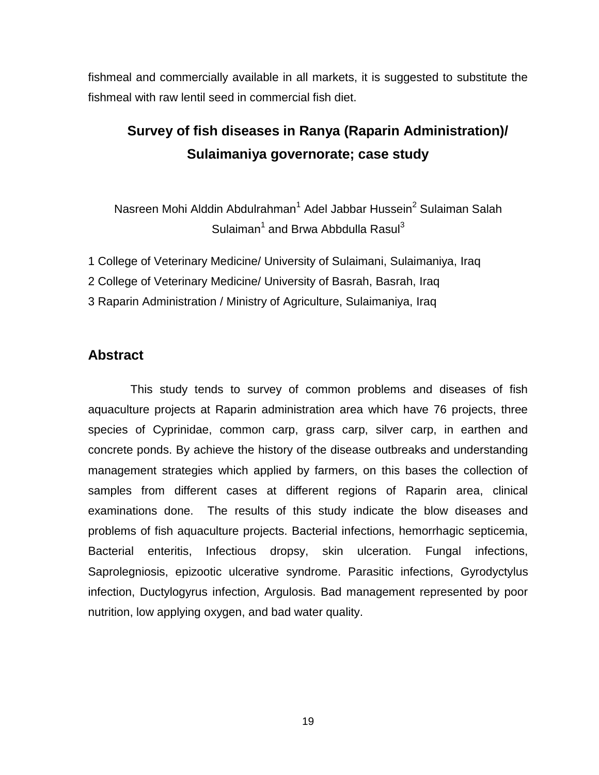fishmeal and commercially available in all markets, it is suggested to substitute the fishmeal with raw lentil seed in commercial fish diet.

# <span id="page-18-0"></span>**16. Survey of fish diseases in Ranya (Raparin Administration)/ Sulaimaniya governorate; case study**

Nasreen Mohi Alddin Abdulrahman<sup>1</sup> Adel Jabbar Hussein<sup>2</sup> Sulaiman Salah Sulaiman<sup>1</sup> and Brwa Abbdulla Rasul<sup>3</sup>

- 1 College of Veterinary Medicine/ University of Sulaimani, Sulaimaniya, Iraq
- 2 College of Veterinary Medicine/ University of Basrah, Basrah, Iraq
- 3 Raparin Administration / Ministry of Agriculture, Sulaimaniya, Iraq

#### **Abstract**

 This study tends to survey of common problems and diseases of fish aquaculture projects at Raparin administration area which have 76 projects, three species of Cyprinidae, common carp, grass carp, silver carp, in earthen and concrete ponds. By achieve the history of the disease outbreaks and understanding management strategies which applied by farmers, on this bases the collection of samples from different cases at different regions of Raparin area, clinical examinations done. The results of this study indicate the blow diseases and problems of fish aquaculture projects. Bacterial infections, hemorrhagic septicemia, Bacterial enteritis, Infectious dropsy, skin ulceration. Fungal infections, Saprolegniosis, epizootic ulcerative syndrome. Parasitic infections, Gyrodyctylus infection, Ductylogyrus infection, Argulosis. Bad management represented by poor nutrition, low applying oxygen, and bad water quality.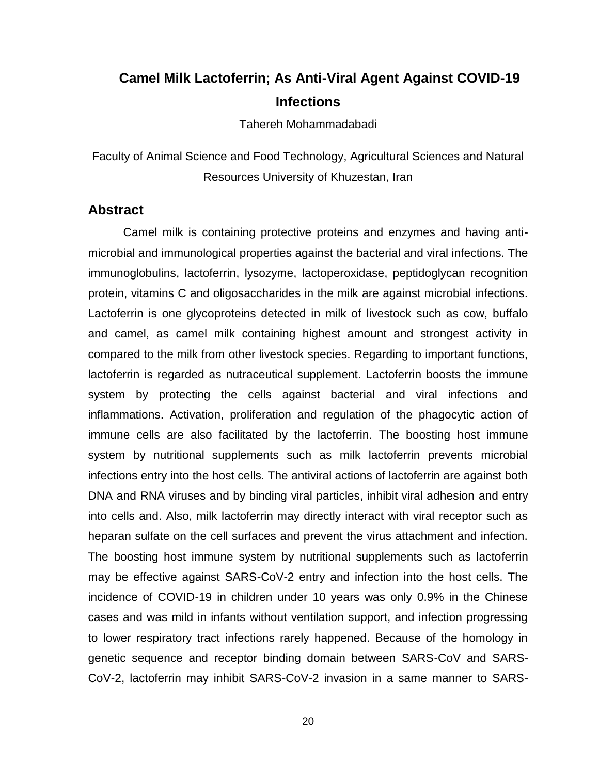### <span id="page-19-0"></span>**17. Camel Milk Lactoferrin; As Anti-Viral Agent Against COVID-19 Infections**

Tahereh Mohammadabadi

Faculty of Animal Science and Food Technology, Agricultural Sciences and Natural Resources University of Khuzestan, Iran

#### **Abstract**

Camel milk is containing protective proteins and enzymes and having antimicrobial and immunological properties against the bacterial and viral infections. The immunoglobulins, lactoferrin, lysozyme, lactoperoxidase, peptidoglycan recognition protein, vitamins C and oligosaccharides in the milk are against microbial infections. Lactoferrin is one glycoproteins detected in milk of livestock such as cow, buffalo and camel, as camel milk containing highest amount and strongest activity in compared to the milk from other livestock species. Regarding to important functions, lactoferrin is regarded as nutraceutical supplement. Lactoferrin boosts the immune system by protecting the cells against bacterial and viral infections and inflammations. Activation, proliferation and regulation of the phagocytic action of immune cells are also facilitated by the lactoferrin. The boosting host immune system by nutritional supplements such as milk lactoferrin prevents microbial infections entry into the host cells. The antiviral actions of lactoferrin are against both DNA and RNA viruses and by binding viral particles, inhibit viral adhesion and entry into cells and. Also, milk lactoferrin may directly interact with viral receptor such as heparan sulfate on the cell surfaces and prevent the virus attachment and infection. The boosting host immune system by nutritional supplements such as lactoferrin may be effective against SARS-CoV-2 entry and infection into the host cells. The incidence of COVID-19 in children under 10 years was only 0.9% in the Chinese cases and was mild in infants without ventilation support, and infection progressing to lower respiratory tract infections rarely happened. Because of the homology in genetic sequence and receptor binding domain between SARS-CoV and SARS-CoV-2, lactoferrin may inhibit SARS-CoV-2 invasion in a same manner to SARS-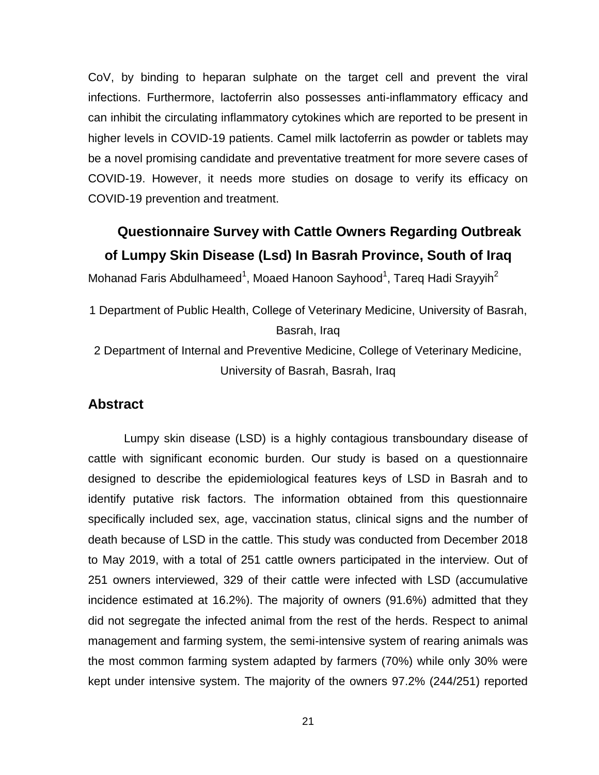CoV, by binding to heparan sulphate on the target cell and prevent the viral infections. Furthermore, lactoferrin also possesses anti-inflammatory efficacy and can inhibit the circulating inflammatory cytokines which are reported to be present in higher levels in COVID-19 patients. Camel milk lactoferrin as powder or tablets may be a novel promising candidate and preventative treatment for more severe cases of COVID-19. However, it needs more studies on dosage to verify its efficacy on COVID-19 prevention and treatment.

### <span id="page-20-0"></span>**18. Questionnaire Survey with Cattle Owners Regarding Outbreak of Lumpy Skin Disease (Lsd) In Basrah Province, South of Iraq**

Mohanad Faris Abdulhameed<sup>1</sup>, Moaed Hanoon Sayhood<sup>1</sup>, Tareq Hadi Srayyih<sup>2</sup>

- 1 Department of Public Health, College of Veterinary Medicine, University of Basrah, Basrah, Iraq
- 2 Department of Internal and Preventive Medicine, College of Veterinary Medicine, University of Basrah, Basrah, Iraq

#### **Abstract**

 Lumpy skin disease (LSD) is a highly contagious transboundary disease of cattle with significant economic burden. Our study is based on a questionnaire designed to describe the epidemiological features keys of LSD in Basrah and to identify putative risk factors. The information obtained from this questionnaire specifically included sex, age, vaccination status, clinical signs and the number of death because of LSD in the cattle. This study was conducted from December 2018 to May 2019, with a total of 251 cattle owners participated in the interview. Out of 251 owners interviewed, 329 of their cattle were infected with LSD (accumulative incidence estimated at 16.2%). The majority of owners (91.6%) admitted that they did not segregate the infected animal from the rest of the herds. Respect to animal management and farming system, the semi-intensive system of rearing animals was the most common farming system adapted by farmers (70%) while only 30% were kept under intensive system. The majority of the owners 97.2% (244/251) reported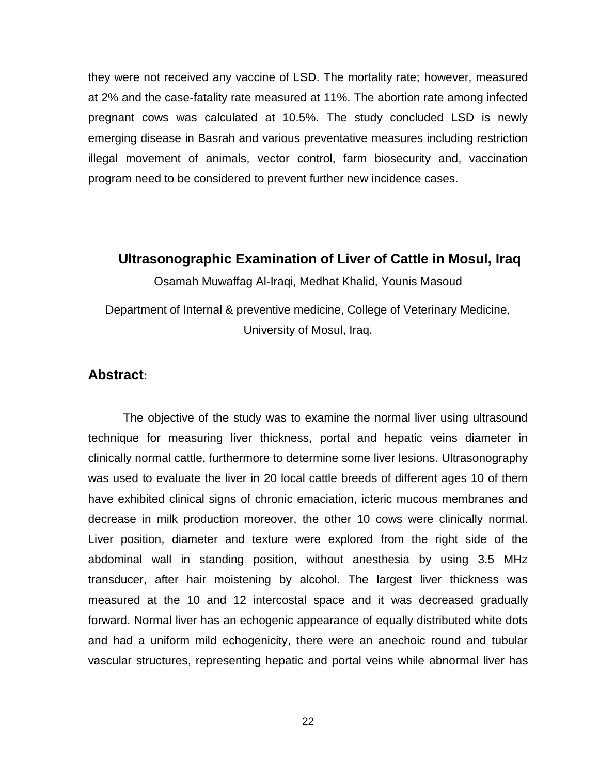they were not received any vaccine of LSD. The mortality rate; however, measured at 2% and the case-fatality rate measured at 11%. The abortion rate among infected pregnant cows was calculated at 10.5%. The study concluded LSD is newly emerging disease in Basrah and various preventative measures including restriction illegal movement of animals, vector control, farm biosecurity and, vaccination program need to be considered to prevent further new incidence cases.

#### <span id="page-21-0"></span>**19. Ultrasonographic Examination of Liver of Cattle in Mosul, Iraq**

Osamah Muwaffag Al-Iraqi, Medhat Khalid, Younis Masoud

Department of Internal & preventive medicine, College of Veterinary Medicine, University of Mosul, Iraq.

#### **Abstract:**

The objective of the study was to examine the normal liver using ultrasound technique for measuring liver thickness, portal and hepatic veins diameter in clinically normal cattle, furthermore to determine some liver lesions. Ultrasonography was used to evaluate the liver in 20 local cattle breeds of different ages 10 of them have exhibited clinical signs of chronic emaciation, icteric mucous membranes and decrease in milk production moreover, the other 10 cows were clinically normal. Liver position, diameter and texture were explored from the right side of the abdominal wall in standing position, without anesthesia by using 3.5 MHz transducer, after hair moistening by alcohol. The largest liver thickness was measured at the 10 and 12 intercostal space and it was decreased gradually forward. Normal liver has an echogenic appearance of equally distributed white dots and had a uniform mild echogenicity, there were an anechoic round and tubular vascular structures, representing hepatic and portal veins while abnormal liver has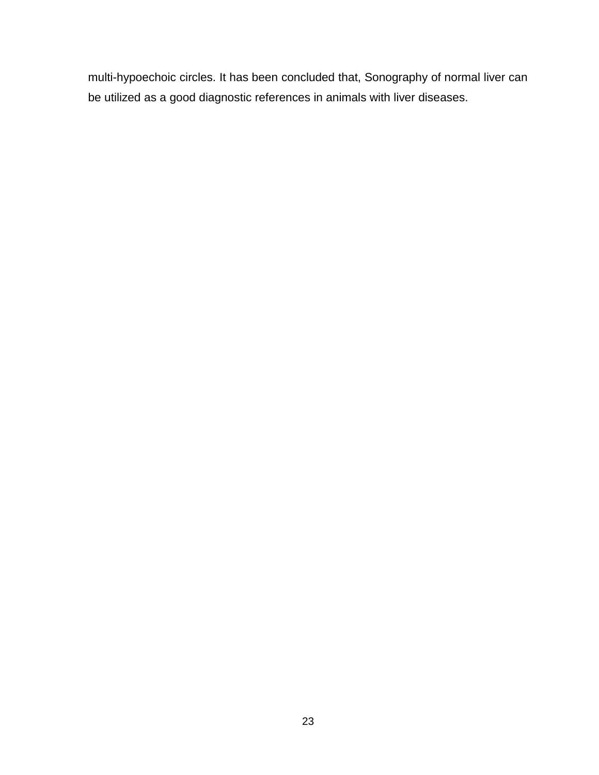multi-hypoechoic circles. It has been concluded that, Sonography of normal liver can be utilized as a good diagnostic references in animals with liver diseases.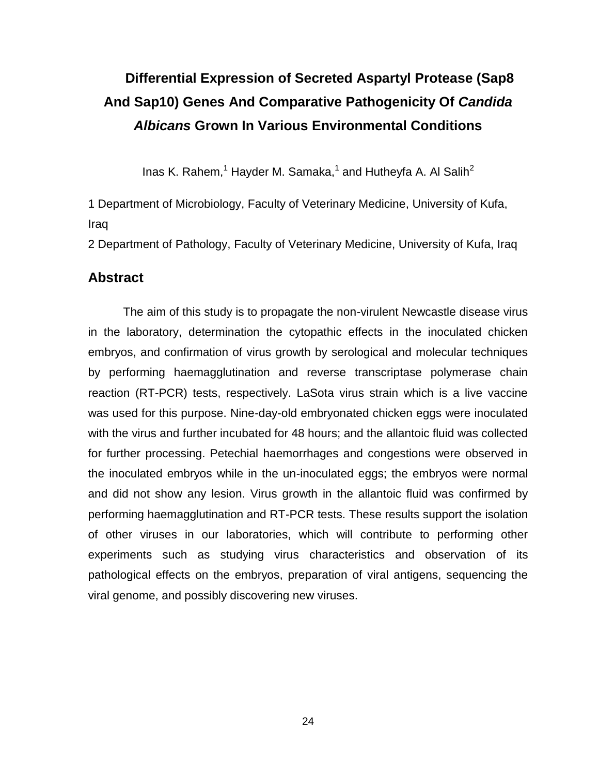# <span id="page-23-0"></span>**20. Differential Expression of Secreted Aspartyl Protease (Sap8 And Sap10) Genes And Comparative Pathogenicity Of** *Candida Albicans* **Grown In Various Environmental Conditions**

Inas K. Rahem,<sup>1</sup> Hayder M. Samaka,<sup>1</sup> and Hutheyfa A. Al Salih<sup>2</sup>

1 Department of Microbiology, Faculty of Veterinary Medicine, University of Kufa, Iraq

2 Department of Pathology, Faculty of Veterinary Medicine, University of Kufa, Iraq

#### **Abstract**

 The aim of this study is to propagate the non-virulent Newcastle disease virus in the laboratory, determination the cytopathic effects in the inoculated chicken embryos, and confirmation of virus growth by serological and molecular techniques by performing haemagglutination and reverse transcriptase polymerase chain reaction (RT-PCR) tests, respectively. LaSota virus strain which is a live vaccine was used for this purpose. Nine-day-old embryonated chicken eggs were inoculated with the virus and further incubated for 48 hours; and the allantoic fluid was collected for further processing. Petechial haemorrhages and congestions were observed in the inoculated embryos while in the un-inoculated eggs; the embryos were normal and did not show any lesion. Virus growth in the allantoic fluid was confirmed by performing haemagglutination and RT-PCR tests. These results support the isolation of other viruses in our laboratories, which will contribute to performing other experiments such as studying virus characteristics and observation of its pathological effects on the embryos, preparation of viral antigens, sequencing the viral genome, and possibly discovering new viruses.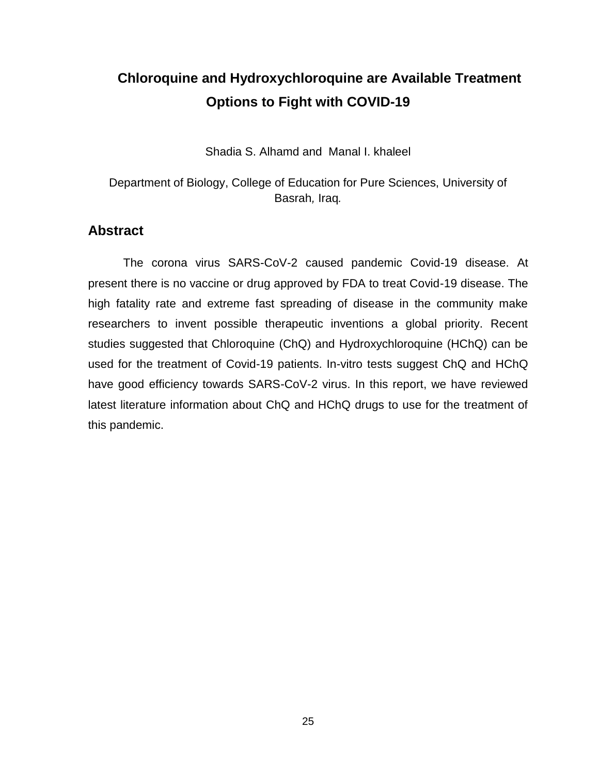# <span id="page-24-0"></span>**21. Chloroquine and Hydroxychloroquine are Available Treatment Options to Fight with COVID-19**

Shadia S. Alhamd and Manal I. khaleel

Department of Biology, College of Education for Pure Sciences, University of Basrah*,* Iraq*.*

#### **Abstract**

The corona virus SARS-CoV-2 caused pandemic Covid-19 disease. At present there is no vaccine or drug approved by FDA to treat Covid-19 disease. The high fatality rate and extreme fast spreading of disease in the community make researchers to invent possible therapeutic inventions a global priority. Recent studies suggested that Chloroquine (ChQ) and Hydroxychloroquine (HChQ) can be used for the treatment of Covid-19 patients. In-vitro tests suggest ChQ and HChQ have good efficiency towards SARS-CoV-2 virus. In this report, we have reviewed latest literature information about ChQ and HChQ drugs to use for the treatment of this pandemic.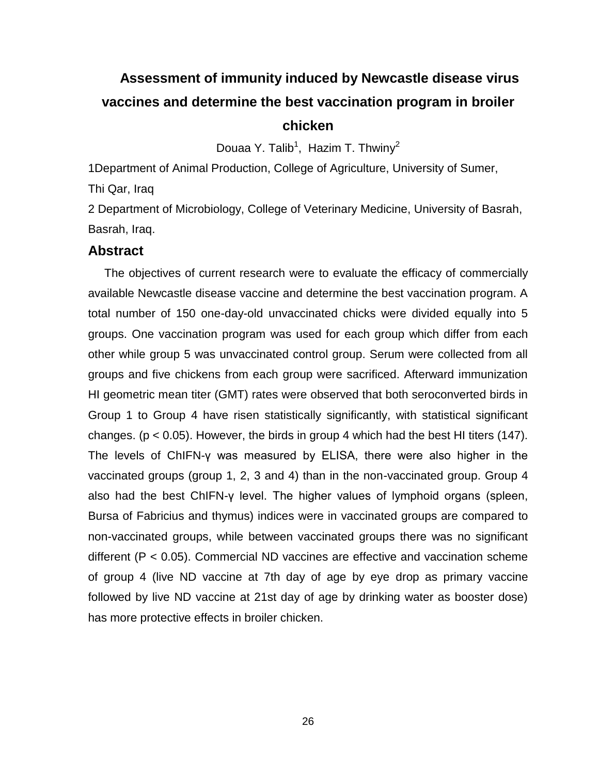# <span id="page-25-0"></span>**22. Assessment of immunity induced by Newcastle disease virus vaccines and determine the best vaccination program in broiler chicken**

Douaa Y. Talib<sup>1</sup>, Hazim T. Thwiny<sup>2</sup>

1Department of Animal Production, College of Agriculture, University of Sumer,

Thi Qar, Iraq

2 Department of Microbiology, College of Veterinary Medicine, University of Basrah, Basrah, Iraq.

#### **Abstract**

 The objectives of current research were to evaluate the efficacy of commercially available Newcastle disease vaccine and determine the best vaccination program. A total number of 150 one-day-old unvaccinated chicks were divided equally into 5 groups. One vaccination program was used for each group which differ from each other while group 5 was unvaccinated control group. Serum were collected from all groups and five chickens from each group were sacrificed. Afterward immunization HI geometric mean titer (GMT) rates were observed that both seroconverted birds in Group 1 to Group 4 have risen statistically significantly, with statistical significant changes. ( $p < 0.05$ ). However, the birds in group 4 which had the best HI titers (147). The levels of ChIFN-γ was measured by ELISA, there were also higher in the vaccinated groups (group 1, 2, 3 and 4) than in the non-vaccinated group. Group 4 also had the best ChIFN-γ level. The higher values of lymphoid organs (spleen, Bursa of Fabricius and thymus) indices were in vaccinated groups are compared to non-vaccinated groups, while between vaccinated groups there was no significant different (P < 0.05). Commercial ND vaccines are effective and vaccination scheme of group 4 (live ND vaccine at 7th day of age by eye drop as primary vaccine followed by live ND vaccine at 21st day of age by drinking water as booster dose) has more protective effects in broiler chicken.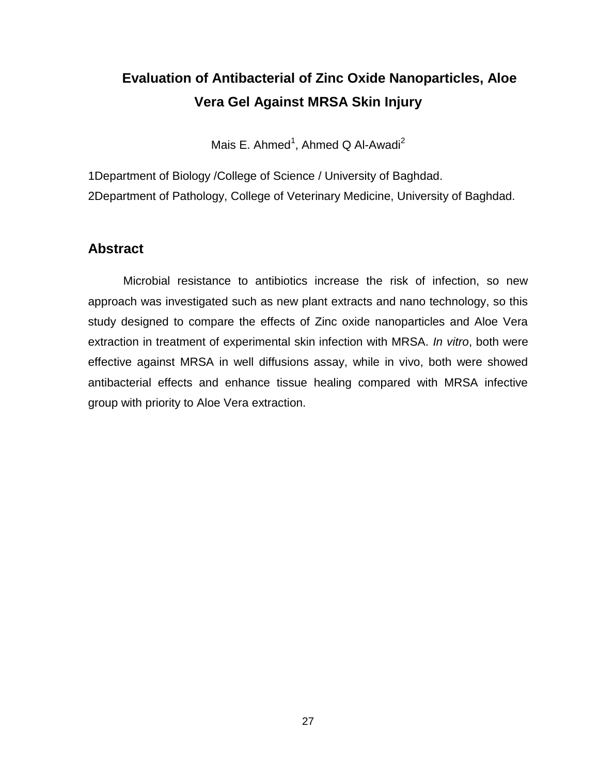# <span id="page-26-0"></span>**23. Evaluation of Antibacterial of Zinc Oxide Nanoparticles, Aloe Vera Gel Against MRSA Skin Injury**

Mais E. Ahmed<sup>1</sup>, Ahmed Q Al-Awadi<sup>2</sup>

1Department of Biology /College of Science / University of Baghdad. 2Department of Pathology, College of Veterinary Medicine, University of Baghdad.

#### **Abstract**

Microbial resistance to antibiotics increase the risk of infection, so new approach was investigated such as new plant extracts and nano technology, so this study designed to compare the effects of Zinc oxide nanoparticles and Aloe Vera extraction in treatment of experimental skin infection with MRSA. *In vitro*, both were effective against MRSA in well diffusions assay, while in vivo, both were showed antibacterial effects and enhance tissue healing compared with MRSA infective group with priority to Aloe Vera extraction.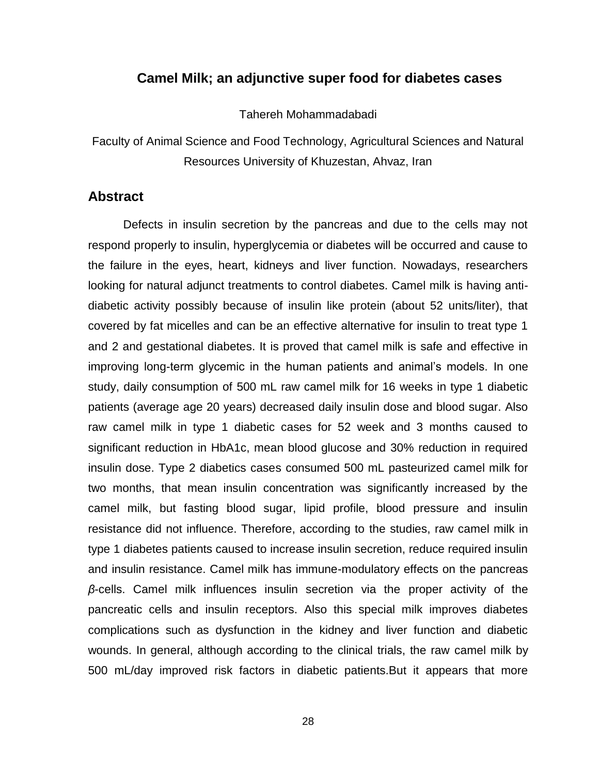#### <span id="page-27-0"></span>**24. Camel Milk; an adjunctive super food for diabetes cases**

Tahereh Mohammadabadi

Faculty of Animal Science and Food Technology, Agricultural Sciences and Natural Resources University of Khuzestan, Ahvaz, Iran

#### **Abstract**

Defects in insulin secretion by the pancreas and due to the cells may not respond properly to insulin, hyperglycemia or diabetes will be occurred and cause to the failure in the eyes, heart, kidneys and liver function. Nowadays, researchers looking for natural adjunct treatments to control diabetes. Camel milk is having antidiabetic activity possibly because of insulin like protein (about 52 units/liter), that covered by fat micelles and can be an effective alternative for insulin to treat type 1 and 2 and gestational diabetes. It is proved that camel milk is safe and effective in improving long-term glycemic in the human patients and animal's models. In one study, daily consumption of 500 mL raw camel milk for 16 weeks in type 1 diabetic patients (average age 20 years) decreased daily insulin dose and blood sugar. Also raw camel milk in type 1 diabetic cases for 52 week and 3 months caused to significant reduction in HbA1c, mean blood glucose and 30% reduction in required insulin dose. Type 2 diabetics cases consumed 500 mL pasteurized camel milk for two months, that mean insulin concentration was significantly increased by the camel milk, but fasting blood sugar, lipid profile, blood pressure and insulin resistance did not influence. Therefore, according to the studies, raw camel milk in type 1 diabetes patients caused to increase insulin secretion, reduce required insulin and insulin resistance. Camel milk has immune-modulatory effects on the pancreas *β*-cells. Camel milk influences insulin secretion via the proper activity of the pancreatic cells and insulin receptors. Also this special milk improves diabetes complications such as dysfunction in the kidney and liver function and diabetic wounds. In general, although according to the clinical trials, the raw camel milk by 500 mL/day improved risk factors in diabetic patients.But it appears that more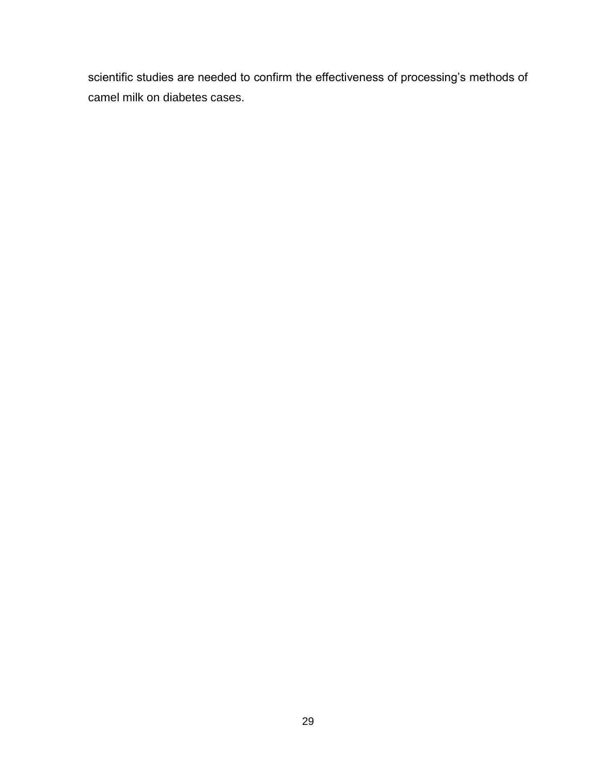scientific studies are needed to confirm the effectiveness of processing's methods of camel milk on diabetes cases.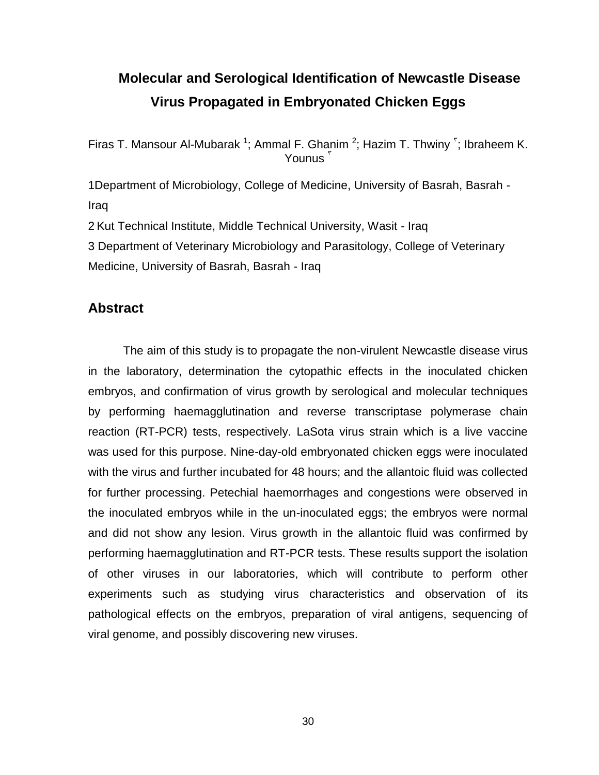# <span id="page-29-0"></span>**25. Molecular and Serological Identification of Newcastle Disease Virus Propagated in Embryonated Chicken Eggs**

Firas T. Mansour Al-Mubarak <sup>1</sup>; Ammal F. Ghanim <sup>2</sup>; Hazim T. Thwiny <sup>r</sup>; Ibraheem K. Younus<sup>'</sup>

1Department of Microbiology, College of Medicine, University of Basrah, Basrah - Iraq

2 Kut Technical Institute, Middle Technical University, Wasit - Iraq

3 Department of Veterinary Microbiology and Parasitology, College of Veterinary Medicine, University of Basrah, Basrah - Iraq

#### **Abstract**

The aim of this study is to propagate the non-virulent Newcastle disease virus in the laboratory, determination the cytopathic effects in the inoculated chicken embryos, and confirmation of virus growth by serological and molecular techniques by performing haemagglutination and reverse transcriptase polymerase chain reaction (RT-PCR) tests, respectively. LaSota virus strain which is a live vaccine was used for this purpose. Nine-day-old embryonated chicken eggs were inoculated with the virus and further incubated for 48 hours; and the allantoic fluid was collected for further processing. Petechial haemorrhages and congestions were observed in the inoculated embryos while in the un-inoculated eggs; the embryos were normal and did not show any lesion. Virus growth in the allantoic fluid was confirmed by performing haemagglutination and RT-PCR tests. These results support the isolation of other viruses in our laboratories, which will contribute to perform other experiments such as studying virus characteristics and observation of its pathological effects on the embryos, preparation of viral antigens, sequencing of viral genome, and possibly discovering new viruses.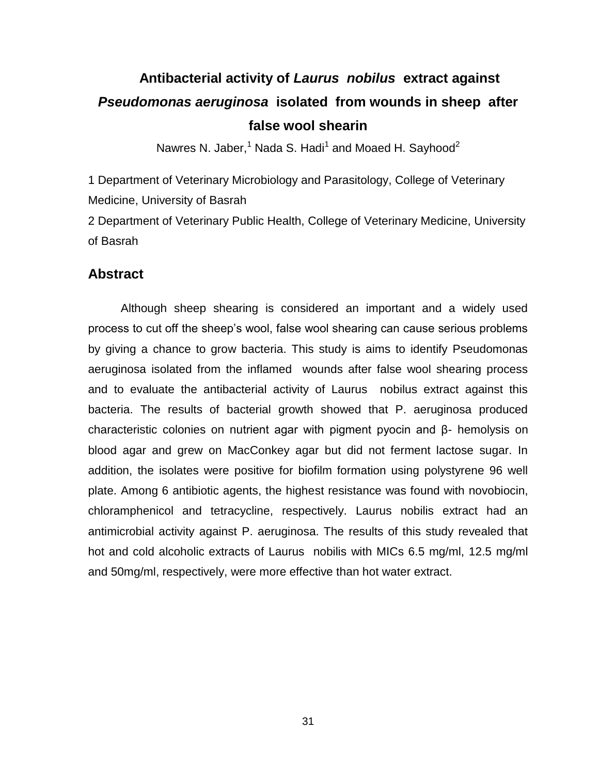# <span id="page-30-0"></span>**26. Antibacterial activity of** *Laurus nobilus* **extract against**  *Pseudomonas aeruginosa* **isolated from wounds in sheep after false wool shearin**

Nawres N. Jaber, $^1$  Nada S. Hadi $^1$  and Moaed H. Sayhood $^2$ 

1 Department of Veterinary Microbiology and Parasitology, College of Veterinary Medicine, University of Basrah

2 Department of Veterinary Public Health, College of Veterinary Medicine, University of Basrah

#### **Abstract**

 Although sheep shearing is considered an important and a widely used process to cut off the sheep's wool, false wool shearing can cause serious problems by giving a chance to grow bacteria. This study is aims to identify Pseudomonas aeruginosa isolated from the inflamed wounds after false wool shearing process and to evaluate the antibacterial activity of Laurus nobilus extract against this bacteria. The results of bacterial growth showed that P. aeruginosa produced characteristic colonies on nutrient agar with pigment pyocin and β- hemolysis on blood agar and grew on MacConkey agar but did not ferment lactose sugar. In addition, the isolates were positive for biofilm formation using polystyrene 96 well plate. Among 6 antibiotic agents, the highest resistance was found with novobiocin, chloramphenicol and tetracycline, respectively. Laurus nobilis extract had an antimicrobial activity against P. aeruginosa. The results of this study revealed that hot and cold alcoholic extracts of Laurus nobilis with MICs 6.5 mg/ml, 12.5 mg/ml and 50mg/ml, respectively, were more effective than hot water extract.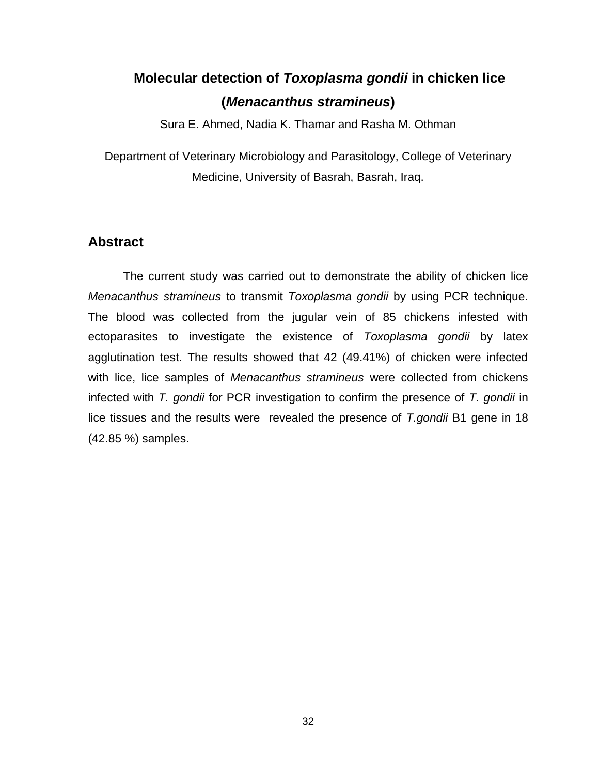# <span id="page-31-0"></span>**27. Molecular detection of** *Toxoplasma gondii* **in chicken lice (***Menacanthus stramineus***)**

Sura E. Ahmed, Nadia K. Thamar and Rasha M. Othman

Department of Veterinary Microbiology and Parasitology, College of Veterinary Medicine, University of Basrah, Basrah, Iraq.

#### **Abstract**

 The current study was carried out to demonstrate the ability of chicken lice *Menacanthus stramineus* to transmit *Toxoplasma gondii* by using PCR technique. The blood was collected from the jugular vein of 85 chickens infested with ectoparasites to investigate the existence of *Toxoplasma gondii* by latex agglutination test. The results showed that 42 (49.41%) of chicken were infected with lice, lice samples of *Menacanthus stramineus* were collected from chickens infected with *T. gondii* for PCR investigation to confirm the presence of *T. gondii* in lice tissues and the results were revealed the presence of *T.gondii* B1 gene in 18 (42.85 %) samples.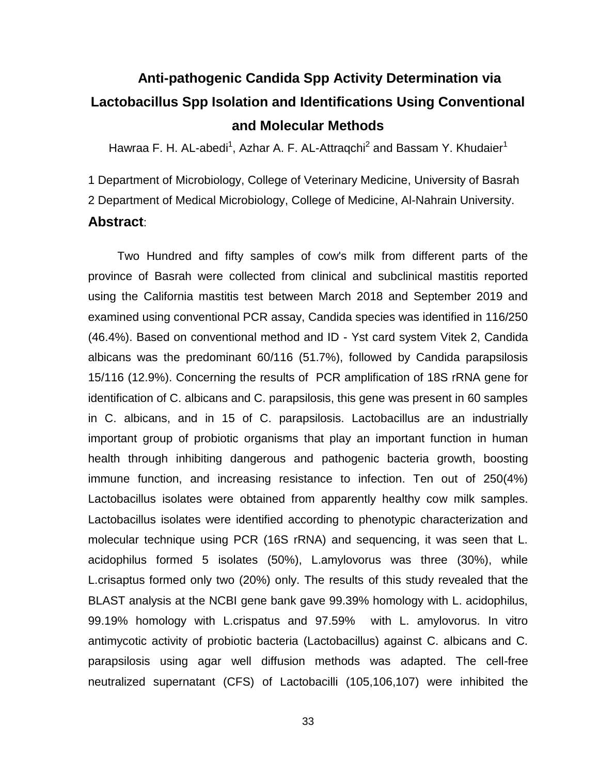# <span id="page-32-0"></span>**28. Anti-pathogenic Candida Spp Activity Determination via Lactobacillus Spp Isolation and Identifications Using Conventional and Molecular Methods**

Hawraa F. H. AL-abedi<sup>1</sup>, Azhar A. F. AL-Attraqchi<sup>2</sup> and Bassam Y. Khudaier<sup>1</sup>

1 Department of Microbiology, College of Veterinary Medicine, University of Basrah

2 Department of Medical Microbiology, College of Medicine, Al-Nahrain University.

#### **Abstract**:

 Two Hundred and fifty samples of cow's milk from different parts of the province of Basrah were collected from clinical and subclinical mastitis reported using the California mastitis test between March 2018 and September 2019 and examined using conventional PCR assay, Candida species was identified in 116/250 (46.4%). Based on conventional method and ID - Yst card system Vitek 2, Candida albicans was the predominant 60/116 (51.7%), followed by Candida parapsilosis 15/116 (12.9%). Concerning the results of PCR amplification of 18S rRNA gene for identification of C. albicans and C. parapsilosis, this gene was present in 60 samples in C. albicans, and in 15 of C. parapsilosis. Lactobacillus are an industrially important group of probiotic organisms that play an important function in human health through inhibiting dangerous and pathogenic bacteria growth, boosting immune function, and increasing resistance to infection. Ten out of 250(4%) Lactobacillus isolates were obtained from apparently healthy cow milk samples. Lactobacillus isolates were identified according to phenotypic characterization and molecular technique using PCR (16S rRNA) and sequencing, it was seen that L. acidophilus formed 5 isolates (50%), L.amylovorus was three (30%), while L.crisaptus formed only two (20%) only. The results of this study revealed that the BLAST analysis at the NCBI gene bank gave 99.39% homology with L. acidophilus, 99.19% homology with L.crispatus and 97.59% with L. amylovorus. In vitro antimycotic activity of probiotic bacteria (Lactobacillus) against C. albicans and C. parapsilosis using agar well diffusion methods was adapted. The cell-free neutralized supernatant (CFS) of Lactobacilli (105,106,107) were inhibited the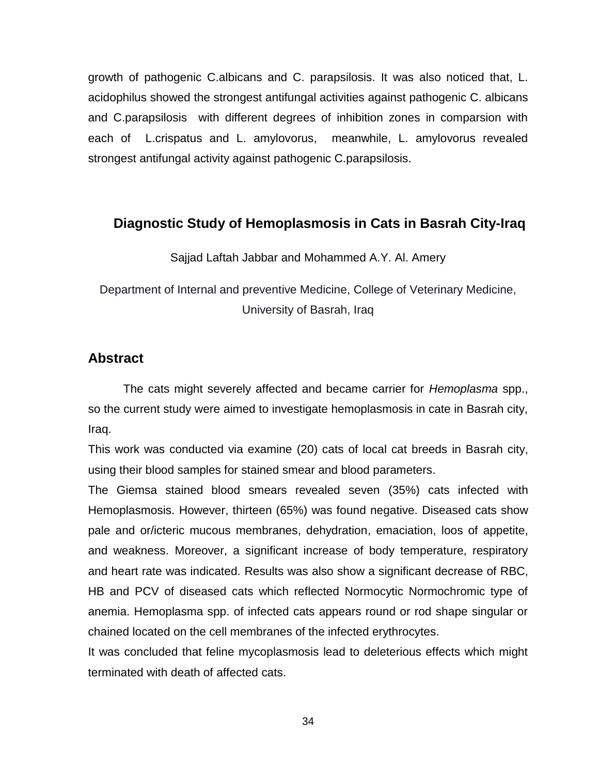growth of pathogenic C.albicans and C. parapsilosis. It was also noticed that, L. acidophilus showed the strongest antifungal activities against pathogenic C. albicans and C.parapsilosis with different degrees of inhibition zones in comparsion with each of L.crispatus and L. amylovorus, meanwhile, L. amylovorus revealed strongest antifungal activity against pathogenic C.parapsilosis.

#### <span id="page-33-0"></span>**29. Diagnostic Study of Hemoplasmosis in Cats in Basrah City-Iraq**

Sajjad Laftah Jabbar and Mohammed A.Y. Al. Amery

Department of Internal and preventive Medicine, College of Veterinary Medicine, University of Basrah, Iraq

#### **Abstract**

The cats might severely affected and became carrier for *Hemoplasma* spp., so the current study were aimed to investigate hemoplasmosis in cate in Basrah city, Iraq.

This work was conducted via examine (20) cats of local cat breeds in Basrah city, using their blood samples for stained smear and blood parameters.

The Giemsa stained blood smears revealed seven (35%) cats infected with Hemoplasmosis. However, thirteen (65%) was found negative. Diseased cats show pale and or/icteric mucous membranes, dehydration, emaciation, loos of appetite, and weakness. Moreover, a significant increase of body temperature, respiratory and heart rate was indicated. Results was also show a significant decrease of RBC, HB and PCV of diseased cats which reflected Normocytic Normochromic type of anemia. Hemoplasma spp. of infected cats appears round or rod shape singular or chained located on the cell membranes of the infected erythrocytes.

It was concluded that feline mycoplasmosis lead to deleterious effects which might terminated with death of affected cats.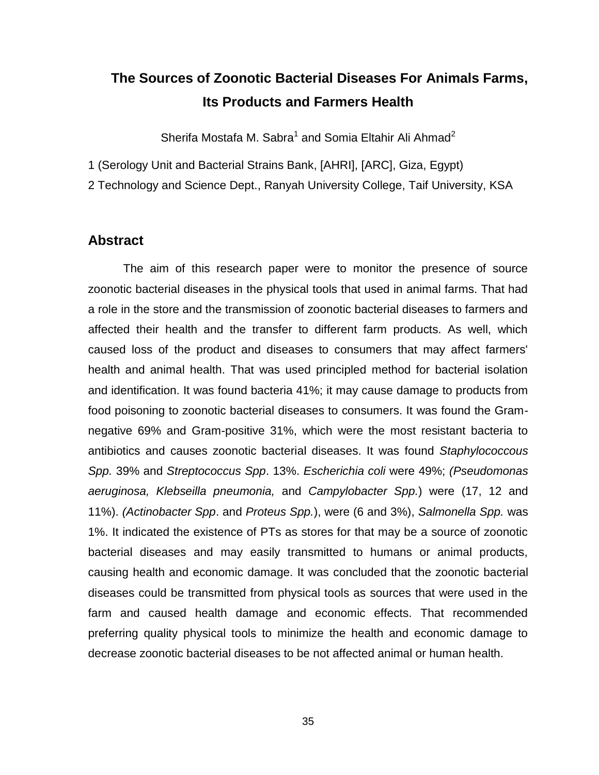### <span id="page-34-0"></span>**30. The Sources of Zoonotic Bacterial Diseases For Animals Farms, Its Products and Farmers Health**

Sherifa Mostafa M. Sabra<sup>1</sup> and Somia Eltahir Ali Ahmad<sup>2</sup>

1 (Serology Unit and Bacterial Strains Bank, [AHRI], [ARC], Giza, Egypt)

2 Technology and Science Dept., Ranyah University College, Taif University, KSA

#### **Abstract**

The aim of this research paper were to monitor the presence of source zoonotic bacterial diseases in the physical tools that used in animal farms. That had a role in the store and the transmission of zoonotic bacterial diseases to farmers and affected their health and the transfer to different farm products. As well, which caused loss of the product and diseases to consumers that may affect farmers' health and animal health. That was used principled method for bacterial isolation and identification. It was found bacteria 41%; it may cause damage to products from food poisoning to zoonotic bacterial diseases to consumers. It was found the Gramnegative 69% and Gram-positive 31%, which were the most resistant bacteria to antibiotics and causes zoonotic bacterial diseases. It was found *Staphylococcous Spp.* 39% and *Streptococcus Spp*. 13%. *Escherichia coli* were 49%; *(Pseudomonas aeruginosa, Klebseilla pneumonia,* and *Campylobacter Spp.*) were (17, 12 and 11%). *(Actinobacter Spp*. and *Proteus Spp.*), were (6 and 3%), *Salmonella Spp.* was 1%. It indicated the existence of PTs as stores for that may be a source of zoonotic bacterial diseases and may easily transmitted to humans or animal products, causing health and economic damage. It was concluded that the zoonotic bacterial diseases could be transmitted from physical tools as sources that were used in the farm and caused health damage and economic effects. That recommended preferring quality physical tools to minimize the health and economic damage to decrease zoonotic bacterial diseases to be not affected animal or human health.